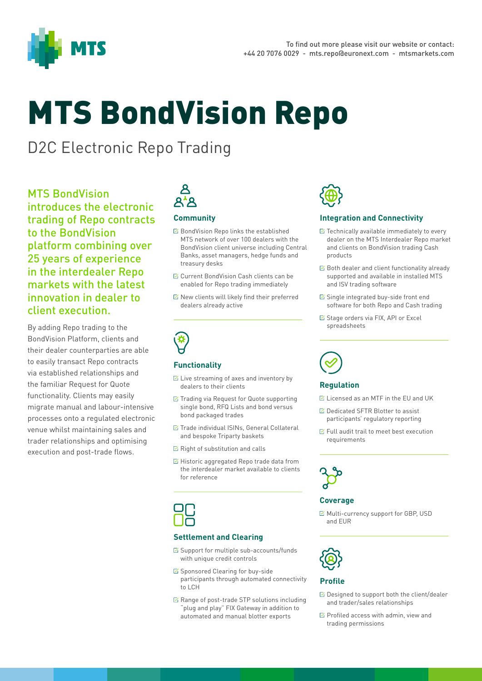

# MTS BondVision Repo

## D2C Electronic Repo Trading

MTS BondVision introduces the electronic trading of Repo contracts to the BondVision platform combining over 25 years of experience in the interdealer Repo markets with the latest innovation in dealer to client execution.

By adding Repo trading to the BondVision Platform, clients and their dealer counterparties are able to easily transact Repo contracts via established relationships and the familiar Request for Quote functionality. Clients may easily migrate manual and labour-intensive processes onto a regulated electronic venue whilst maintaining sales and trader relationships and optimising execution and post-trade flows.

# **Q'R**

### **Community**

- **Ø** BondVision Repo links the established MTS network of over 100 dealers with the BondVision client universe including Central Banks, asset managers, hedge funds and treasury desks
- Current BondVision Cash clients can be enabled for Repo trading immediately
- $\boxtimes$  New clients will likely find their preferred dealers already active

#### **Functionality**

- $\triangleright$  Live streaming of axes and inventory by dealers to their clients
- $\mathbb Z$  Trading via Request for Quote supporting single bond, RFQ Lists and bond versus bond packaged trades
- **Ø Trade individual ISINs, General Collateral** and bespoke Triparty baskets
- $\boxtimes$  Right of substitution and calls
- $\boxtimes$  Historic aggregated Repo trade data from the interdealer market available to clients for reference

#### **Settlement and Clearing**

- $\boxtimes$  Support for multiple sub-accounts/funds with unique credit controls
- $\boxtimes$  Sponsored Clearing for buy-side participants through automated connectivity to LCH
- $\boxtimes$  Range of post-trade STP solutions including "plug and play" FIX Gateway in addition to automated and manual blotter exports



#### **Integration and Connectivity**

- $\triangleright$  Technically available immediately to every dealer on the MTS Interdealer Repo market and clients on BondVision trading Cash products
- $\boxtimes$  Both dealer and client functionality already supported and available in installed MTS and ISV trading software
- $\boxtimes$  Single integrated buy-side front end software for both Repo and Cash trading
- **Stage orders via FIX, API or Excel** spreadsheets



#### **Regulation**

- $\mathbb{K}$  Licensed as an MTF in the FU and UK
- **Ø Dedicated SFTR Blotter to assist** participants' regulatory reporting
- $\boxtimes$  Full audit trail to meet best execution requirements



#### **Coverage**

Multi-currency support for GBP, USD and EUR



#### **Profile**

- **Ø Designed to support both the client/dealer** and trader/sales relationships
- $\boxdot$  Profiled access with admin, view and trading permissions